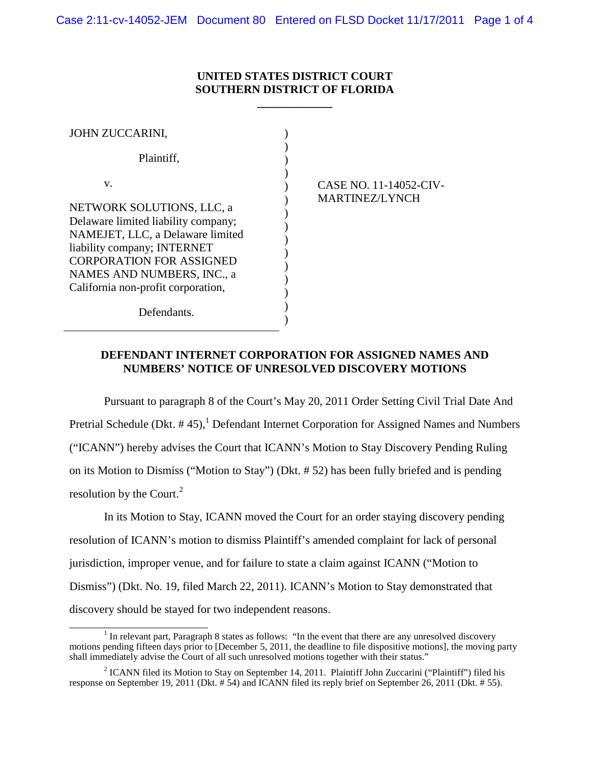## **UNITED STATES DISTRICT COURT SOUTHERN DISTRICT OF FLORIDA**

**\_\_\_\_\_\_\_\_\_\_\_\_\_**

| <b>JOHN ZUCCARINI,</b>                                                                                                                                                                                                                           |                                                 |
|--------------------------------------------------------------------------------------------------------------------------------------------------------------------------------------------------------------------------------------------------|-------------------------------------------------|
| Plaintiff,                                                                                                                                                                                                                                       |                                                 |
| V.<br>NETWORK SOLUTIONS, LLC, a<br>Delaware limited liability company;<br>NAMEJET, LLC, a Delaware limited<br>liability company; INTERNET<br><b>CORPORATION FOR ASSIGNED</b><br>NAMES AND NUMBERS, INC., a<br>California non-profit corporation, | CASE NO. 11-14052-CIV-<br><b>MARTINEZ/LYNCH</b> |
| Defendants.                                                                                                                                                                                                                                      |                                                 |

## **DEFENDANT INTERNET CORPORATION FOR ASSIGNED NAMES AND NUMBERS' NOTICE OF UNRESOLVED DISCOVERY MOTIONS**

Pursuant to paragraph 8 of the Court's May 20, 2011 Order Setting Civil Trial Date And Pretrial Schedule (Dkt.  $# 45$ ),<sup>1</sup> Defendant Internet Corporation for Assigned Names and Numbers ("ICANN") hereby advises the Court that ICANN's Motion to Stay Discovery Pending Ruling on its Motion to Dismiss ("Motion to Stay") (Dkt. # 52) has been fully briefed and is pending resolution by the Court. $^{2}$ 

In its Motion to Stay, ICANN moved the Court for an order staying discovery pending resolution of ICANN's motion to dismiss Plaintiff's amended complaint for lack of personal jurisdiction, improper venue, and for failure to state a claim against ICANN ("Motion to Dismiss") (Dkt. No. 19, filed March 22, 2011). ICANN's Motion to Stay demonstrated that discovery should be stayed for two independent reasons.

 $<sup>1</sup>$  In relevant part, Paragraph 8 states as follows: "In the event that there are any unresolved discovery</sup> motions pending fifteen days prior to [December 5, 2011, the deadline to file dispositive motions], the moving party shall immediately advise the Court of all such unresolved motions together with their status."

<sup>&</sup>lt;sup>2</sup> ICANN filed its Motion to Stay on September 14, 2011. Plaintiff John Zuccarini ("Plaintiff") filed his response on September 19, 2011 (Dkt. # 54) and ICANN filed its reply brief on September 26, 2011 (Dkt. # 55).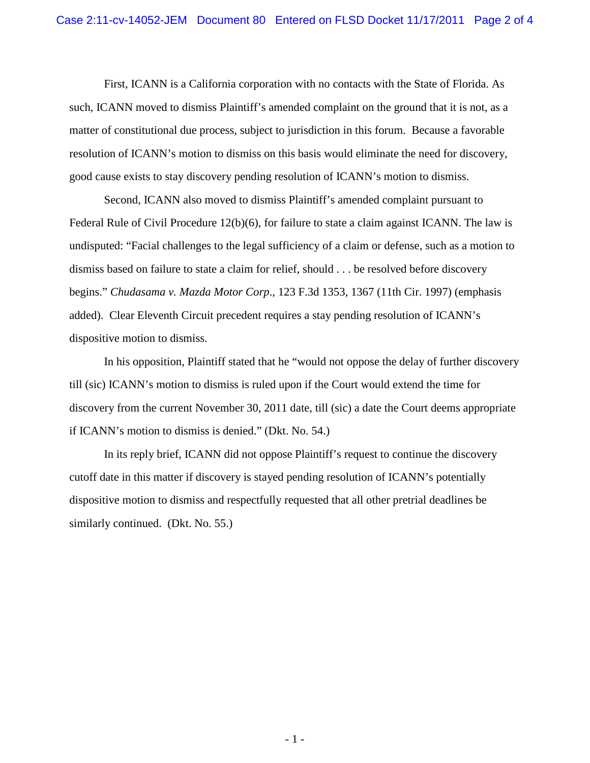First, ICANN is a California corporation with no contacts with the State of Florida. As such, ICANN moved to dismiss Plaintiff's amended complaint on the ground that it is not, as a matter of constitutional due process, subject to jurisdiction in this forum. Because a favorable resolution of ICANN's motion to dismiss on this basis would eliminate the need for discovery, good cause exists to stay discovery pending resolution of ICANN's motion to dismiss.

Second, ICANN also moved to dismiss Plaintiff's amended complaint pursuant to Federal Rule of Civil Procedure 12(b)(6), for failure to state a claim against ICANN. The law is undisputed: "Facial challenges to the legal sufficiency of a claim or defense, such as a motion to dismiss based on failure to state a claim for relief, should . . . be resolved before discovery begins." *Chudasama v. Mazda Motor Corp*., 123 F.3d 1353, 1367 (11th Cir. 1997) (emphasis added). Clear Eleventh Circuit precedent requires a stay pending resolution of ICANN's dispositive motion to dismiss.

In his opposition, Plaintiff stated that he "would not oppose the delay of further discovery till (sic) ICANN's motion to dismiss is ruled upon if the Court would extend the time for discovery from the current November 30, 2011 date, till (sic) a date the Court deems appropriate if ICANN's motion to dismiss is denied." (Dkt. No. 54.)

In its reply brief, ICANN did not oppose Plaintiff's request to continue the discovery cutoff date in this matter if discovery is stayed pending resolution of ICANN's potentially dispositive motion to dismiss and respectfully requested that all other pretrial deadlines be similarly continued. (Dkt. No. 55.)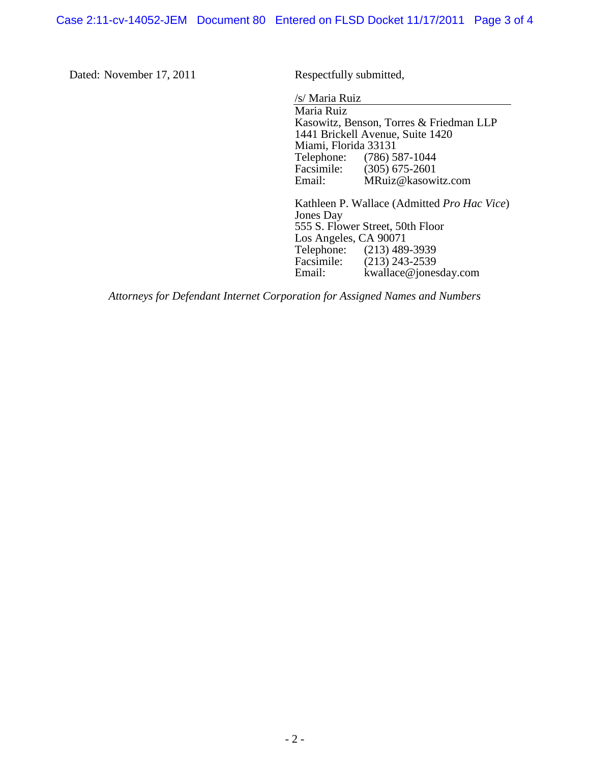Case 2:11-cv-14052-JEM Document 80 Entered on FLSD Docket 11/17/2011 Page 3 of 4

Dated: November 17, 2011 Respectfully submitted,

/s/ Maria Ruiz

Maria Ruiz Kasowitz, Benson, Torres & Friedman LLP 1441 Brickell Avenue, Suite 1420 Miami, Florida 33131<br>Telephone: (786) 5 Telephone: (786) 587-1044<br>Facsimile: (305) 675-2601 Facsimile: (305) 675-2601<br>Email: MRuiz@kasow MRuiz@kasowitz.com

Kathleen P. Wallace (Admitted *Pro Hac Vice*) Jones Day 555 S. Flower Street, 50th Floor Los Angeles, CA 90071<br>Telephone: (213) 489 Telephone: (213) 489-3939<br>Facsimile: (213) 243-2539 Facsimile: (213) 243-2539<br>Email: kwallace@iones kwallace@jonesday.com

*Attorneys for Defendant Internet Corporation for Assigned Names and Numbers*